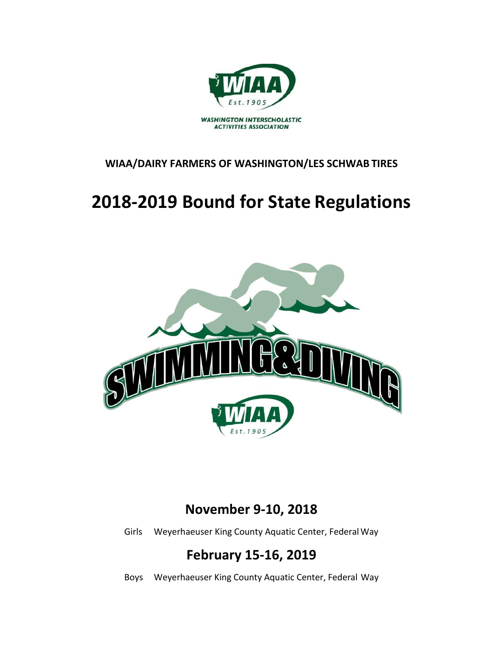

#### **WIAA/DAIRY FARMERS OF WASHINGTON/LES SCHWAB TIRES**

## **2018-2019 Bound for State Regulations**



### **November 9-10, 2018**

Girls Weyerhaeuser King County Aquatic Center, Federal Way

## **February 15-16, 2019**

Boys Weyerhaeuser King County Aquatic Center, Federal Way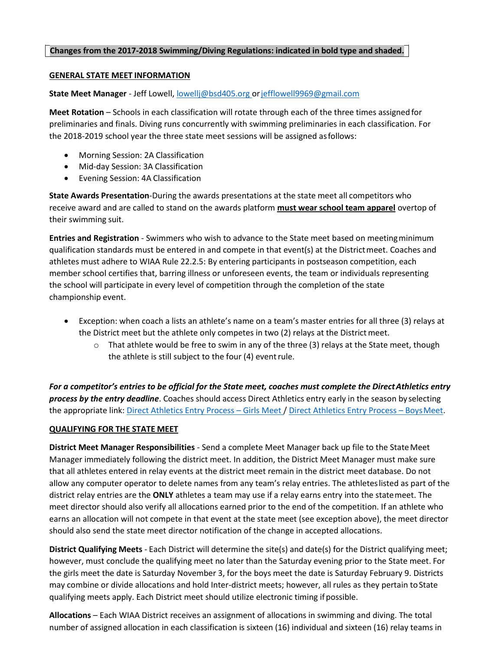#### **Changes from the 2017-2018 Swimming/Diving Regulations: indicated in bold type and shaded.**

#### **GENERAL STATE MEET INFORMATION**

**State Meet Manager** - Jeff Lowell, [lowellj@bsd405.org o](mailto:lowellj@bsd405.org)[rjefflowell9969@gmail.com](mailto:jefflowell9969@gmail.com)

**Meet Rotation** – Schools in each classification will rotate through each of the three times assigned for preliminaries and finals. Diving runs concurrently with swimming preliminaries in each classification. For the 2018-2019 school year the three state meet sessions will be assigned asfollows:

- Morning Session: 2A Classification
- Mid-day Session: 3A Classification
- Evening Session: 4A Classification

**State Awards Presentation**-During the awards presentations at the state meet all competitors who receive award and are called to stand on the awards platform **must wear school team apparel** overtop of their swimming suit.

**Entries and Registration** - Swimmers who wish to advance to the State meet based on meetingminimum qualification standards must be entered in and compete in that event(s) at the Districtmeet. Coaches and athletes must adhere to WIAA Rule 22.2.5: By entering participants in postseason competition, each member school certifies that, barring illness or unforeseen events, the team or individuals representing the school will participate in every level of competition through the completion of the state championship event.

- Exception: when coach a lists an athlete's name on a team's master entries for all three (3) relays at the District meet but the athlete only competes in two (2) relays at the Districtmeet.
	- $\circ$  That athlete would be free to swim in any of the three (3) relays at the State meet, though the athlete is still subject to the four (4) event rule.

*For a competitor's entries to be official for the State meet, coaches must complete the DirectAthletics entry process by the entry deadline*. Coaches should access Direct Athletics entry early in the season by selecting the appropriate link: [Direct Athletics Entry Process](http://wiscaorg.ipage.com/forms/2017/HyTek_CoachInstructionsWAFall17.pdf) – Girls Meet [/ Direct Athletics Entry Process](http://wiscaorg.ipage.com/forms/2017/HyTek_CoachInstructionsWAWINTER2018.pdf) – BoysMeet.

#### **QUALIFYING FOR THE STATE MEET**

**District Meet Manager Responsibilities** - Send a complete Meet Manager back up file to the StateMeet Manager immediately following the district meet. In addition, the District Meet Manager must make sure that all athletes entered in relay events at the district meet remain in the district meet database. Do not allow any computer operator to delete names from any team's relay entries. The athleteslisted as part of the district relay entries are the **ONLY** athletes a team may use if a relay earns entry into the statemeet. The meet director should also verify all allocations earned prior to the end of the competition. If an athlete who earns an allocation will not compete in that event at the state meet (see exception above), the meet director should also send the state meet director notification of the change in accepted allocations.

**District Qualifying Meets** - Each District will determine the site(s) and date(s) for the District qualifying meet; however, must conclude the qualifying meet no later than the Saturday evening prior to the State meet. For the girls meet the date is Saturday November 3, for the boys meet the date is Saturday February 9. Districts may combine or divide allocations and hold Inter-district meets; however, all rules as they pertain toState qualifying meets apply. Each District meet should utilize electronic timing ifpossible.

**Allocations** – Each WIAA District receives an assignment of allocations in swimming and diving. The total number of assigned allocation in each classification is sixteen (16) individual and sixteen (16) relay teams in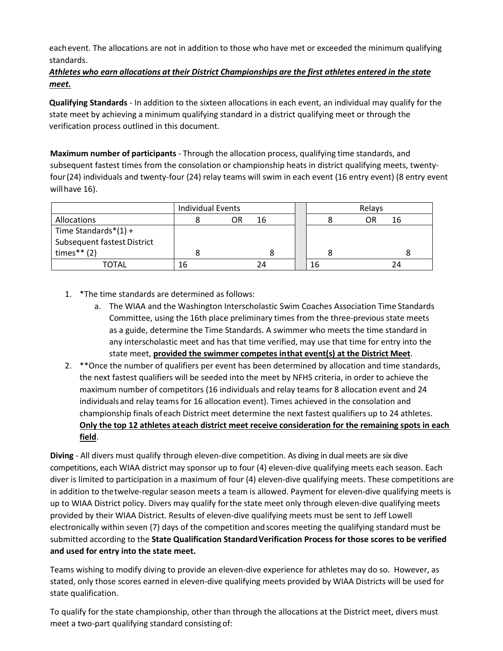eachevent. The allocations are not in addition to those who have met or exceeded the minimum qualifying standards.

#### *Athletes who earn allocations at their District Championships are the first athletes entered in the state meet.*

**Qualifying Standards** - In addition to the sixteen allocations in each event, an individual may qualify for the state meet by achieving a minimum qualifying standard in a district qualifying meet or through the verification process outlined in this document.

**Maximum number of participants** - Through the allocation process, qualifying time standards, and subsequent fastest times from the consolation or championship heats in district qualifying meets, twentyfour(24) individuals and twenty-four (24) relay teams will swim in each event (16 entry event) (8 entry event willhave 16).

|                                                               | <b>Individual Events</b> |    |    | Relays |          |  |
|---------------------------------------------------------------|--------------------------|----|----|--------|----------|--|
| Allocations                                                   |                          | OR | 16 |        | 16<br>OR |  |
| Time Standards $*(1) +$<br><b>Subsequent fastest District</b> |                          |    |    |        |          |  |
| times** $(2)$                                                 |                          |    |    |        |          |  |
| TOTAL                                                         | 16                       |    | 74 | 16     | 24       |  |

- 1. \*The time standards are determined as follows:
	- a. The WIAA and the Washington Interscholastic Swim Coaches Association Time Standards Committee, using the 16th place preliminary times from the three-previous state meets as a guide, determine the Time Standards. A swimmer who meets the time standard in any interscholastic meet and has that time verified, may use that time for entry into the state meet, **provided the swimmer competes inthat event(s) at the District Meet**.
- 2. \*\*Once the number of qualifiers per event has been determined by allocation and time standards, the next fastest qualifiers will be seeded into the meet by NFHS criteria, in order to achieve the maximum number of competitors (16 individuals and relay teams for 8 allocation event and 24 individuals and relay teams for 16 allocation event). Times achieved in the consolation and championship finals ofeach District meet determine the next fastest qualifiers up to 24 athletes. **Only the top 12 athletes ateach district meet receive consideration for the remaining spots in each field**.

**Diving** - All divers must qualify through eleven-dive competition. As diving in dual meets are six dive competitions, each WIAA district may sponsor up to four (4) eleven-dive qualifying meets each season. Each diver is limited to participation in a maximum of four (4) eleven-dive qualifying meets. These competitions are in addition to thetwelve-regular season meets a team is allowed. Payment for eleven-dive qualifying meets is up to WIAA District policy. Divers may qualify forthe state meet only through eleven-dive qualifying meets provided by their WIAA District. Results of eleven-dive qualifying meets must be sent to Jeff Lowell electronically within seven (7) days of the competition andscores meeting the qualifying standard must be submitted according to the **State Qualification StandardVerification Process for those scores to be verified and used for entry into the state meet.**

Teams wishing to modify diving to provide an eleven-dive experience for athletes may do so. However, as stated, only those scores earned in eleven-dive qualifying meets provided by WIAA Districts will be used for state qualification.

To qualify for the state championship, other than through the allocations at the District meet, divers must meet a two-part qualifying standard consisting of: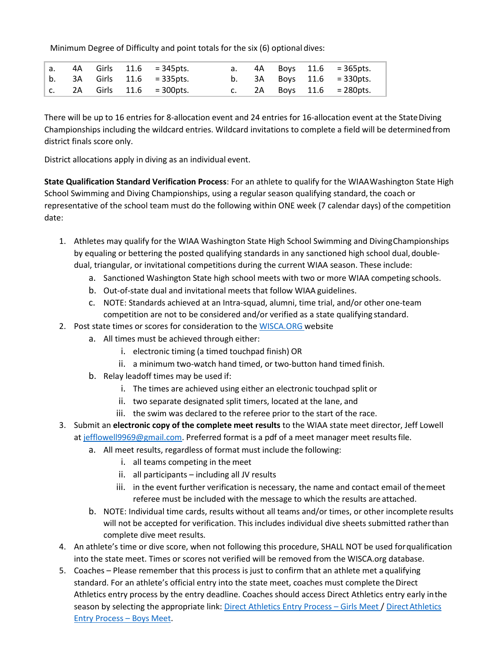Minimum Degree of Difficulty and point totals for the six (6) optional dives:

|  |  | a. 4A Girls 11.6 = 345 pts.    |  |  | a. $4A$ Boys $11.6$ = 365 pts. |
|--|--|--------------------------------|--|--|--------------------------------|
|  |  | b. $3A$ Girls $11.6$ = 335pts. |  |  | b. $3A$ Boys $11.6$ = 330pts.  |
|  |  | c. 2A Girls $11.6$ = 300pts.   |  |  | c. $2A$ Boys $11.6$ = 280pts.  |

There will be up to 16 entries for 8-allocation event and 24 entries for 16-allocation event at the StateDiving Championships including the wildcard entries. Wildcard invitations to complete a field will be determinedfrom district finals score only.

District allocations apply in diving as an individual event.

**State Qualification Standard Verification Process**: For an athlete to qualify for the WIAAWashington State High School Swimming and Diving Championships, using a regular season qualifying standard, the coach or representative of the school team must do the following within ONE week (7 calendar days) ofthe competition date:

- 1. Athletes may qualify for the WIAA Washington State High School Swimming and DivingChampionships by equaling or bettering the posted qualifying standards in any sanctioned high school dual, doubledual, triangular, or invitational competitions during the current WIAA season. These include:
	- a. Sanctioned Washington State high school meets with two or more WIAA competing schools.
	- b. Out-of-state dual and invitational meets that follow WIAA guidelines.
	- c. NOTE: Standards achieved at an Intra-squad, alumni, time trial, and/or other one-team competition are not to be considered and/or verified as a state qualifying standard.
- 2. Post state times or scores for consideration to th[e WISCA.ORG](http://wiscaorg.ipage.com/submit-times.php) website
	- a. All times must be achieved through either:
		- i. electronic timing (a timed touchpad finish) OR
		- ii. a minimum two-watch hand timed, or two-button hand timed finish.
	- b. Relay leadoff times may be used if:
		- i. The times are achieved using either an electronic touchpad split or
		- ii. two separate designated split timers, located at the lane, and
		- iii. the swim was declared to the referee prior to the start of the race.
- 3. Submit an **electronic copy of the complete meet results** to the WIAA state meet director, Jeff Lowell a[t jefflowell9969@gmail.com.](mailto:jefflowell9969@gmail.com) Preferred format is a pdf of a meet manager meet results file.
	- a. All meet results, regardless of format must include the following:
		- i. all teams competing in the meet
		- ii. all participants including all JV results
		- iii. in the event further verification is necessary, the name and contact email of themeet referee must be included with the message to which the results are attached.
	- b. NOTE: Individual time cards, results without all teams and/or times, or other incomplete results will not be accepted for verification. This includes individual dive sheets submitted ratherthan complete dive meet results.
- 4. An athlete's time or dive score, when not following this procedure, SHALL NOT be used forqualification into the state meet. Times or scores not verified will be removed from the WISCA.org database.
- 5. Coaches Please remember that this process is just to confirm that an athlete met a qualifying standard. For an athlete's official entry into the state meet, coaches must complete the Direct Athletics entry process by the entry deadline. Coaches should access Direct Athletics entry early inthe season by selecting the appropriate link: [Direct Athletics Entry Process](http://wiscaorg.ipage.com/forms/2017/HyTek_CoachInstructionsWAFall17.pdf) - Girls Meet / Direct Athletics [Entry Process](http://wiscaorg.ipage.com/forms/2017/HyTek_CoachInstructionsWAWINTER2018.pdf) – Boys Meet.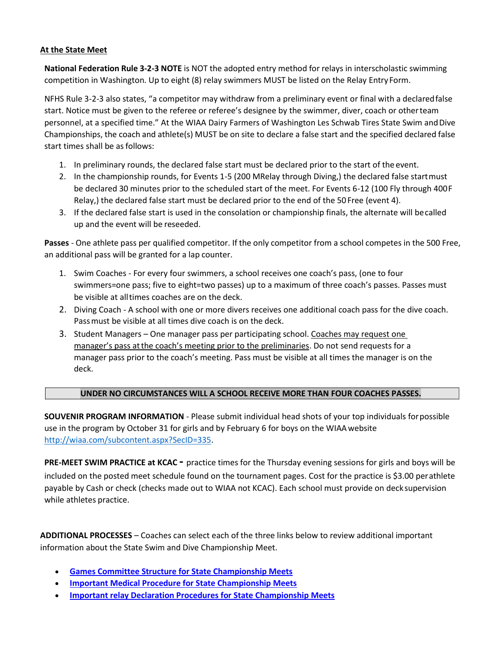#### **At the State Meet**

**National Federation Rule 3-2-3 NOTE** is NOT the adopted entry method for relays in interscholastic swimming competition in Washington. Up to eight (8) relay swimmers MUST be listed on the Relay Entry Form.

NFHS Rule 3-2-3 also states, "a competitor may withdraw from a preliminary event or final with a declaredfalse start. Notice must be given to the referee or referee's designee by the swimmer, diver, coach or otherteam personnel, at a specified time." At the WIAA Dairy Farmers of Washington Les Schwab Tires State Swim and Dive Championships, the coach and athlete(s) MUST be on site to declare a false start and the specified declared false start times shall be as follows:

- 1. In preliminary rounds, the declared false start must be declared prior to the start of the event.
- 2. In the championship rounds, for Events 1-5 (200 MRelay through Diving,) the declared false startmust be declared 30 minutes prior to the scheduled start of the meet. For Events 6-12 (100 Fly through 400F Relay,) the declared false start must be declared prior to the end of the 50Free (event 4).
- 3. If the declared false start is used in the consolation or championship finals, the alternate will becalled up and the event will be reseeded.

**Passes** - One athlete pass per qualified competitor. If the only competitor from a school competes in the 500 Free, an additional pass will be granted for a lap counter.

- 1. Swim Coaches For every four swimmers, a school receives one coach's pass, (one to four swimmers=one pass; five to eight=two passes) up to a maximum of three coach's passes. Passes must be visible at alltimes coaches are on the deck.
- 2. Diving Coach A school with one or more divers receives one additional coach pass for the dive coach. Passmust be visible at all times dive coach is on the deck.
- 3. Student Managers One manager pass per participating school. Coaches may request one manager's pass atthe coach's meeting prior to the preliminaries. Do not send requests for a manager pass prior to the coach's meeting. Pass must be visible at all times the manager is on the deck.

#### **UNDER NO CIRCUMSTANCES WILL A SCHOOL RECEIVE MORE THAN FOUR COACHES PASSES.**

**SOUVENIR PROGRAM INFORMATION** - Please submit individual head shots of your top individuals forpossible use in the program by October 31 for girls and by February 6 for boys on the WIAAwebsite [http://wiaa.com/subcontent.aspx?SecID=335.](http://wiaa.com/subcontent.aspx?SecID=335)

**PRE-MEET SWIM PRACTICE at KCAC -** practice times for the Thursday evening sessions for girls and boys will be included on the posted meet schedule found on the tournament pages. Cost for the practice is \$3.00 perathlete payable by Cash or check (checks made out to WIAA not KCAC). Each school must provide on decksupervision while athletes practice.

**ADDITIONAL PROCESSES** – Coaches can select each of the three links below to review additional important information about the State Swim and Dive Championship Meet.

- **[Games Committee Structure for State Championship Meets](http://wiscaorg.ipage.com/forms/2018/Championship%20Swim%20Meet%20Games%20Committee%20-%20State.pdf)**
- **[Important Medical Procedure for State Championship Meets](http://wiscaorg.ipage.com/forms/2018/Memo%20to%20swim%20coaches%20and%20officials.pdf)**
- **[Important relay Declaration Procedures for State Championship Meets](http://wiscaorg.ipage.com/forms/2018/Relay%20Swimmer%20Declarations.pdf)**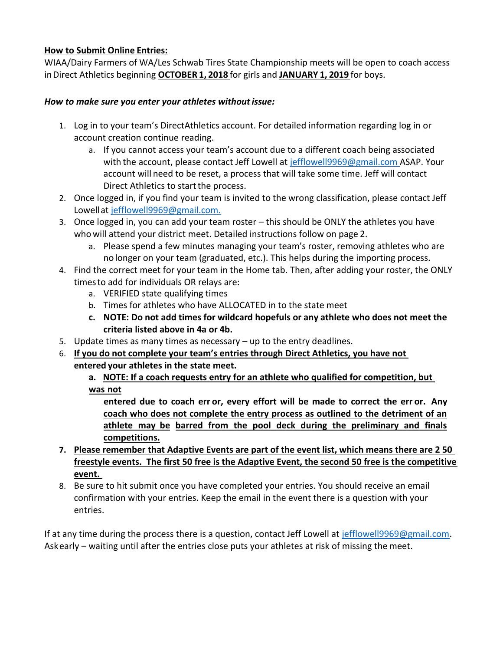#### **How to Submit Online Entries:**

WIAA/Dairy Farmers of WA/Les Schwab Tires State Championship meets will be open to coach access inDirect Athletics beginning **OCTOBER 1, 2018** for girls and **JANUARY 1, 2019** for boys.

#### *How to make sure you enter your athletes withoutissue:*

- 1. Log in to your team's DirectAthletics account. For detailed information regarding log in or account creation continue reading.
	- a. If you cannot access your team's account due to a different coach being associated with the account, please contact Jeff Lowell at [jefflowell9969@gmail.com A](mailto:jefflowell9969@gmail.com)SAP. Your account will need to be reset, a process that will take some time. Jeff will contact Direct Athletics to start the process.
- 2. Once logged in, if you find your team is invited to the wrong classification, please contact Jeff Lowellat [jefflowell9969@gmail.com.](mailto:jefflowell9969@gmail.com)
- 3. Once logged in, you can add your team roster this should be ONLY the athletes you have who will attend your district meet. Detailed instructions follow on page 2.
	- a. Please spend a few minutes managing your team's roster, removing athletes who are no longer on your team (graduated, etc.). This helps during the importing process.
- 4. Find the correct meet for your team in the Home tab. Then, after adding your roster, the ONLY timesto add for individuals OR relays are:
	- a. VERIFIED state qualifying times
	- b. Times for athletes who have ALLOCATED in to the state meet
	- **c. NOTE: Do not add times for wildcard hopefuls or any athlete who does not meet the criteria listed above in 4a or 4b.**
- 5. Update times as many times as necessary up to the entry deadlines.
- 6. **If you do not complete your team's entries through Direct Athletics, you have not entered your athletes in the state meet.**

**a. NOTE: If a coach requests entry for an athlete who qualified for competition, but was not**

**entered due to coach err or, every effort will be made to correct the err or. Any coach who does not complete the entry process as outlined to the detriment of an athlete may be barred from the pool deck during the preliminary and finals competitions.**

- **7. Please remember that Adaptive Events are part of the event list, which means there are 2 50 freestyle events. The first 50 free is the Adaptive Event, the second 50 free is the competitive event.**
- 8. Be sure to hit submit once you have completed your entries. You should receive an email confirmation with your entries. Keep the email in the event there is a question with your entries.

If at any time during the process there is a question, contact Jeff Lowell at [jefflowell9969@gmail.com.](mailto:jefflowell9969@gmail.com) Askearly – waiting until after the entries close puts your athletes at risk of missing the meet.